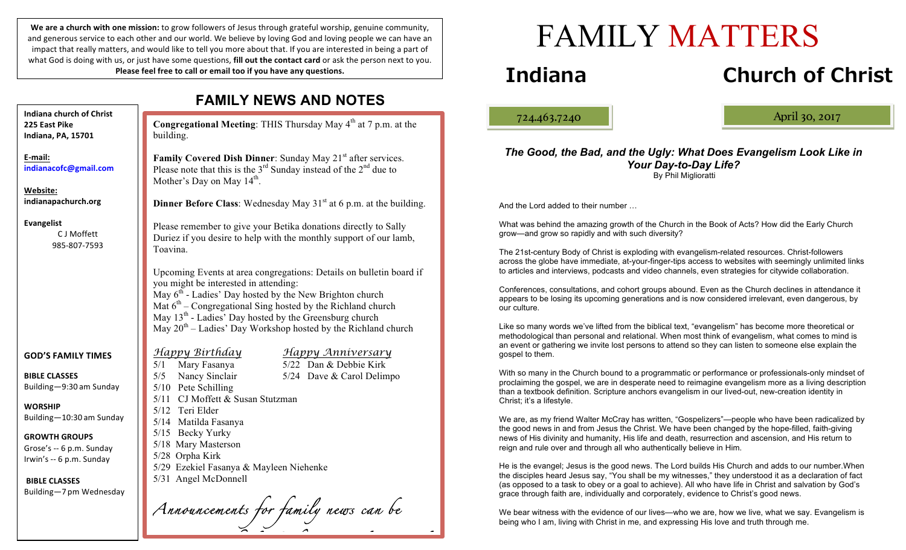We are a church with one mission: to grow followers of Jesus through grateful worship, genuine community, and generous service to each other and our world. We believe by loving God and loving people we can have an impact that really matters, and would like to tell you more about that. If you are interested in being a part of what God is doing with us, or just have some questions, **fill out the contact card** or ask the person next to you. **Please feel free to call or email too if you have any questions.** 

|                                                                                                                                                                                                                                                               | <b>FAMILY NEWS AND NOTES</b>                                                                                                                                                                                                                                                                                                                                                                                                                                                                                                                                                                                                                                                                                                                                                                                                                                                                                                                                                                  |                                                                            |  |
|---------------------------------------------------------------------------------------------------------------------------------------------------------------------------------------------------------------------------------------------------------------|-----------------------------------------------------------------------------------------------------------------------------------------------------------------------------------------------------------------------------------------------------------------------------------------------------------------------------------------------------------------------------------------------------------------------------------------------------------------------------------------------------------------------------------------------------------------------------------------------------------------------------------------------------------------------------------------------------------------------------------------------------------------------------------------------------------------------------------------------------------------------------------------------------------------------------------------------------------------------------------------------|----------------------------------------------------------------------------|--|
| <b>Indiana church of Christ</b><br>225 East Pike<br>Indiana, PA, 15701                                                                                                                                                                                        | building.                                                                                                                                                                                                                                                                                                                                                                                                                                                                                                                                                                                                                                                                                                                                                                                                                                                                                                                                                                                     | Congregational Meeting: THIS Thursday May 4 <sup>th</sup> at 7 p.m. at the |  |
| E-mail:<br>indianacofc@gmail.com<br>Website:<br>indianapachurch.org                                                                                                                                                                                           | Family Covered Dish Dinner: Sunday May 21 <sup>st</sup> after services.<br>Please note that this is the $3rd$ Sunday instead of the $2nd$ due to<br>Mother's Day on May $14th$ .<br>Dinner Before Class: Wednesday May 31 <sup>st</sup> at 6 p.m. at the building.                                                                                                                                                                                                                                                                                                                                                                                                                                                                                                                                                                                                                                                                                                                            |                                                                            |  |
| <b>Evangelist</b><br>C J Moffett<br>985-807-7593                                                                                                                                                                                                              | Please remember to give your Betika donations directly to Sally<br>Duriez if you desire to help with the monthly support of our lamb,<br>Toavina.<br>Upcoming Events at area congregations: Details on bulletin board if<br>you might be interested in attending:<br>May $6th$ - Ladies' Day hosted by the New Brighton church<br>Mat $6th$ – Congregational Sing hosted by the Richland church<br>May 13 <sup>th</sup> - Ladies' Day hosted by the Greensburg church<br>May 20 <sup>th</sup> – Ladies' Day Workshop hosted by the Richland church<br><u>Happy Birthday</u><br><u>Happy Anniversary</u><br>5/22 Dan & Debbie Kirk<br>Mary Fasanya<br>5/1<br>5/5<br>Nancy Sinclair<br>5/24 Dave & Carol Delimpo<br>5/10 Pete Schilling<br>5/11 CJ Moffett & Susan Stutzman<br>5/12 Teri Elder<br>5/14 Matilda Fasanya<br>5/15 Becky Yurky<br>5/18 Mary Masterson<br>5/28 Orpha Kirk<br>5/29 Ezekiel Fasanya & Mayleen Niehenke<br>5/31 Angel McDonnell<br>Announcements for family news can be |                                                                            |  |
| <b>GOD'S FAMILY TIMES</b><br><b>BIBLE CLASSES</b><br>Building-9:30 am Sunday<br><b>WORSHIP</b><br>Building-10:30 am Sunday<br><b>GROWTH GROUPS</b><br>Grose's -- 6 p.m. Sunday<br>Irwin's -- 6 p.m. Sunday<br><b>BIBLE CLASSES</b><br>Building-7 pm Wednesday |                                                                                                                                                                                                                                                                                                                                                                                                                                                                                                                                                                                                                                                                                                                                                                                                                                                                                                                                                                                               |                                                                            |  |
|                                                                                                                                                                                                                                                               |                                                                                                                                                                                                                                                                                                                                                                                                                                                                                                                                                                                                                                                                                                                                                                                                                                                                                                                                                                                               |                                                                            |  |

# FAMILY MATTERS

## **Indiana Church of Christ**

ļ

724.463.7240 April 30, 2017

#### *The Good, the Bad, and the Ugly: What Does Evangelism Look Like in Your Day-to-Day Life?* By Phil Miglioratti

And the Lord added to their number …

What was behind the amazing growth of the Church in the Book of Acts? How did the Early Church grow—and grow so rapidly and with such diversity?

The 21st-century Body of Christ is exploding with evangelism-related resources. Christ-followers across the globe have immediate, at-your-finger-tips access to websites with seemingly unlimited links to articles and interviews, podcasts and video channels, even strategies for citywide collaboration.

Conferences, consultations, and cohort groups abound. Even as the Church declines in attendance it appears to be losing its upcoming generations and is now considered irrelevant, even dangerous, by our culture.

Like so many words we've lifted from the biblical text, "evangelism" has become more theoretical or methodological than personal and relational. When most think of evangelism, what comes to mind is an event or gathering we invite lost persons to attend so they can listen to someone else explain the gospel to them.

With so many in the Church bound to a programmatic or performance or professionals-only mindset of proclaiming the gospel, we are in desperate need to reimagine evangelism more as a living description than a textbook definition. Scripture anchors evangelism in our lived-out, new-creation identity in Christ; it's a lifestyle.

We are, as my friend Walter McCray has written, "Gospelizers"—people who have been radicalized by the good news in and from Jesus the Christ. We have been changed by the hope-filled, faith-giving news of His divinity and humanity, His life and death, resurrection and ascension, and His return to reign and rule over and through all who authentically believe in Him.

He is the evangel; Jesus is the good news. The Lord builds His Church and adds to our number.When the disciples heard Jesus say, "You shall be my witnesses," they understood it as a declaration of fact (as opposed to a task to obey or a goal to achieve). All who have life in Christ and salvation by God's grace through faith are, individually and corporately, evidence to Christ's good news.

We bear witness with the evidence of our lives—who we are, how we live, what we say. Evangelism is being who I am, living with Christ in me, and expressing His love and truth through me.